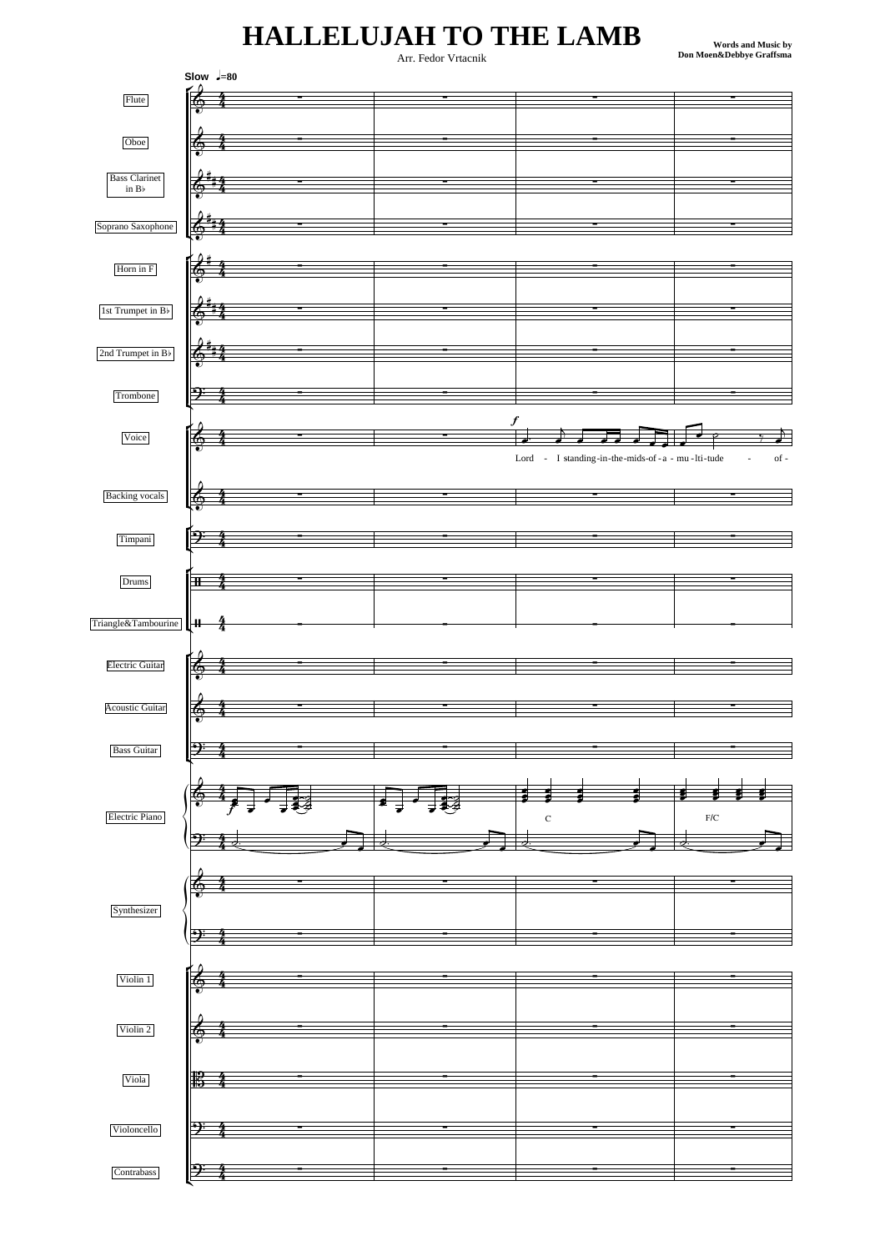## **HALLELUJAH TO THE LAMB**

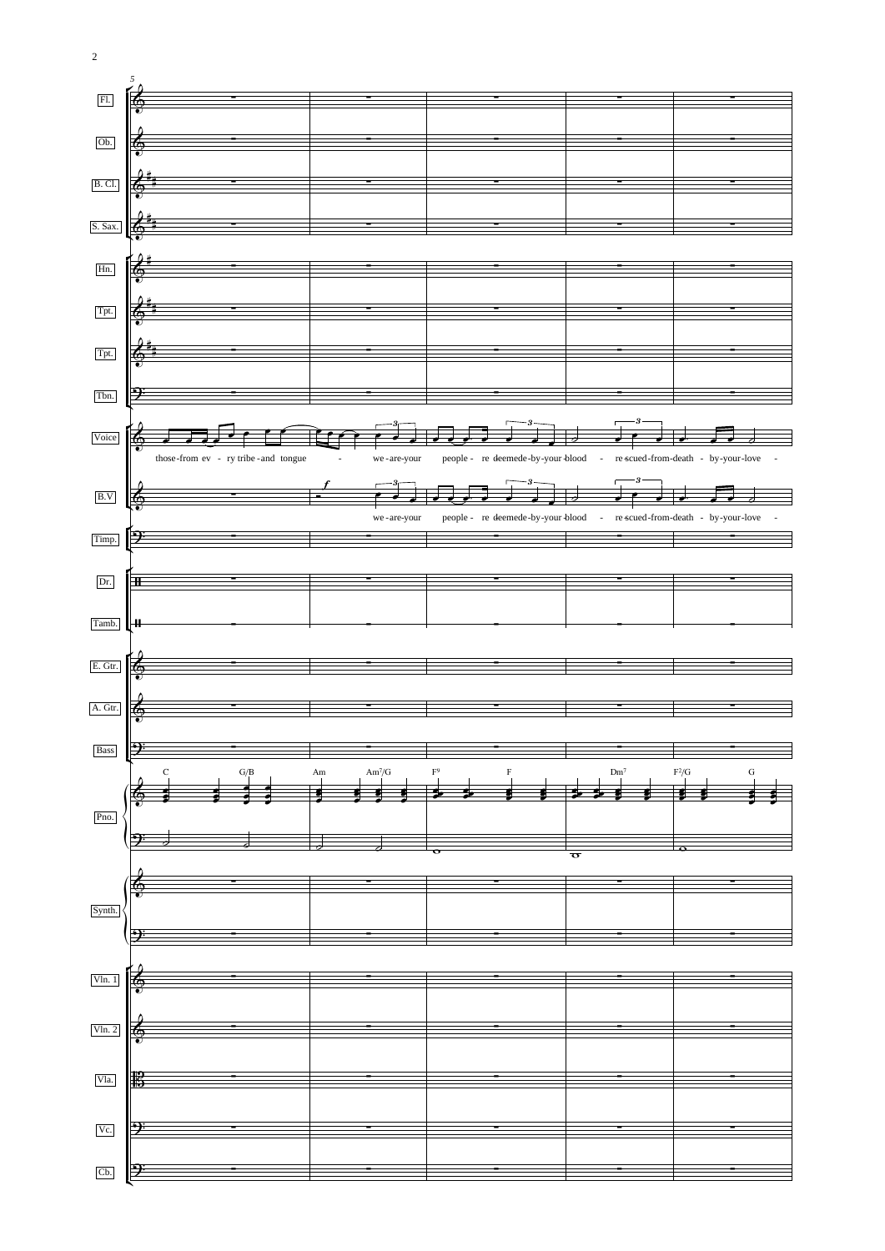

2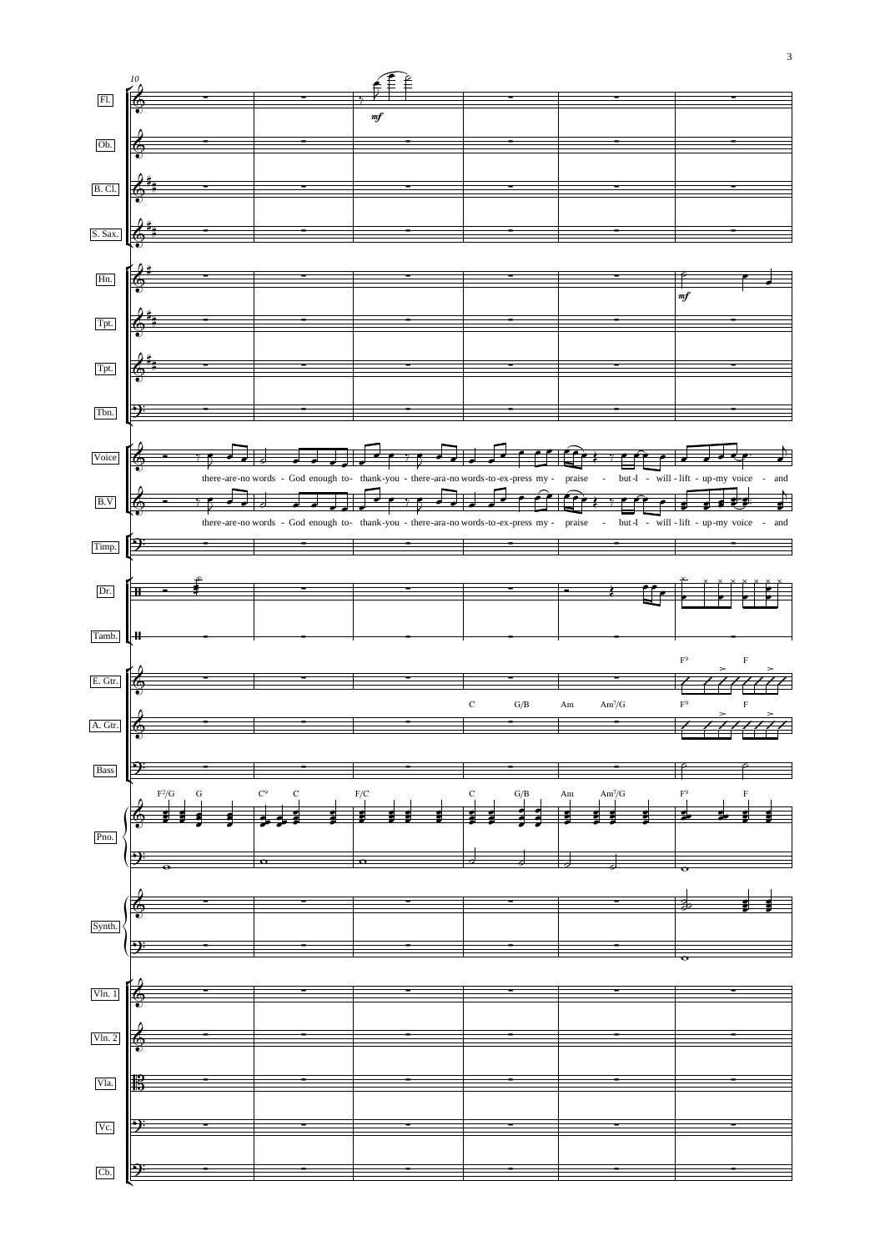